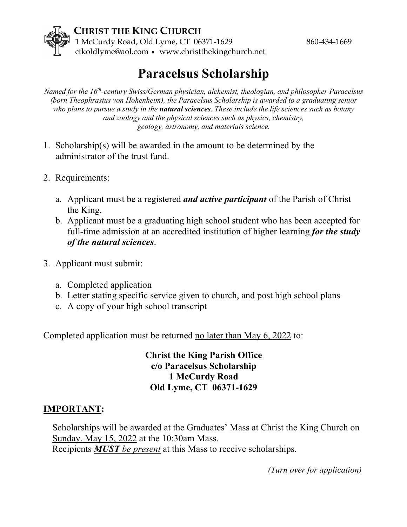

## **Paracelsus Scholarship**

*Named for the 16th-century Swiss/German physician, alchemist, theologian, and philosopher Paracelsus (born Theophrastus von Hohenheim), the Paracelsus Scholarship is awarded to a graduating senior who plans to pursue a study in the natural sciences. These include the life sciences such as botany and zoology and the physical sciences such as physics, chemistry, geology, astronomy, and materials science.*

- 1. Scholarship(s) will be awarded in the amount to be determined by the administrator of the trust fund.
- 2. Requirements:
	- a. Applicant must be a registered *and active participant* of the Parish of Christ the King.
	- b. Applicant must be a graduating high school student who has been accepted for full-time admission at an accredited institution of higher learning *for the study of the natural sciences*.
- 3. Applicant must submit:
	- a. Completed application
	- b. Letter stating specific service given to church, and post high school plans
	- c. A copy of your high school transcript

Completed application must be returned no later than May 6, 2022 to:

**Christ the King Parish Office c/o Paracelsus Scholarship 1 McCurdy Road Old Lyme, CT 06371-1629**

## **IMPORTANT:**

Scholarships will be awarded at the Graduates' Mass at Christ the King Church on Sunday, May 15, 2022 at the 10:30am Mass. Recipients *MUST be present* at this Mass to receive scholarships.

 *(Turn over for application)*